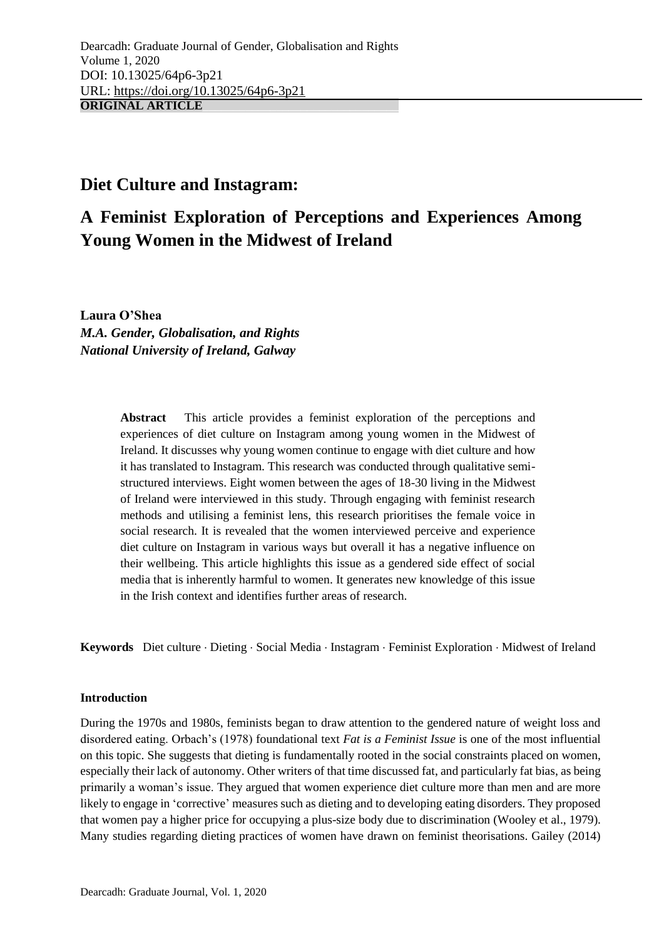## **Diet Culture and Instagram:**

# **A Feminist Exploration of Perceptions and Experiences Among Young Women in the Midwest of Ireland**

**Laura O'Shea** *M.A. Gender, Globalisation, and Rights National University of Ireland, Galway*

> **Abstract** This article provides a feminist exploration of the perceptions and experiences of diet culture on Instagram among young women in the Midwest of Ireland. It discusses why young women continue to engage with diet culture and how it has translated to Instagram. This research was conducted through qualitative semistructured interviews. Eight women between the ages of 18-30 living in the Midwest of Ireland were interviewed in this study. Through engaging with feminist research methods and utilising a feminist lens, this research prioritises the female voice in social research. It is revealed that the women interviewed perceive and experience diet culture on Instagram in various ways but overall it has a negative influence on their wellbeing. This article highlights this issue as a gendered side effect of social media that is inherently harmful to women. It generates new knowledge of this issue in the Irish context and identifies further areas of research.

Keywords Diet culture · Dieting · Social Media · Instagram · Feminist Exploration · Midwest of Ireland

## **Introduction**

During the 1970s and 1980s, feminists began to draw attention to the gendered nature of weight loss and disordered eating. Orbach's (1978) foundational text *Fat is a Feminist Issue* is one of the most influential on this topic. She suggests that dieting is fundamentally rooted in the social constraints placed on women, especially their lack of autonomy. Other writers of that time discussed fat, and particularly fat bias, as being primarily a woman's issue. They argued that women experience diet culture more than men and are more likely to engage in 'corrective' measures such as dieting and to developing eating disorders. They proposed that women pay a higher price for occupying a plus-size body due to discrimination (Wooley et al., 1979). Many studies regarding dieting practices of women have drawn on feminist theorisations. Gailey (2014)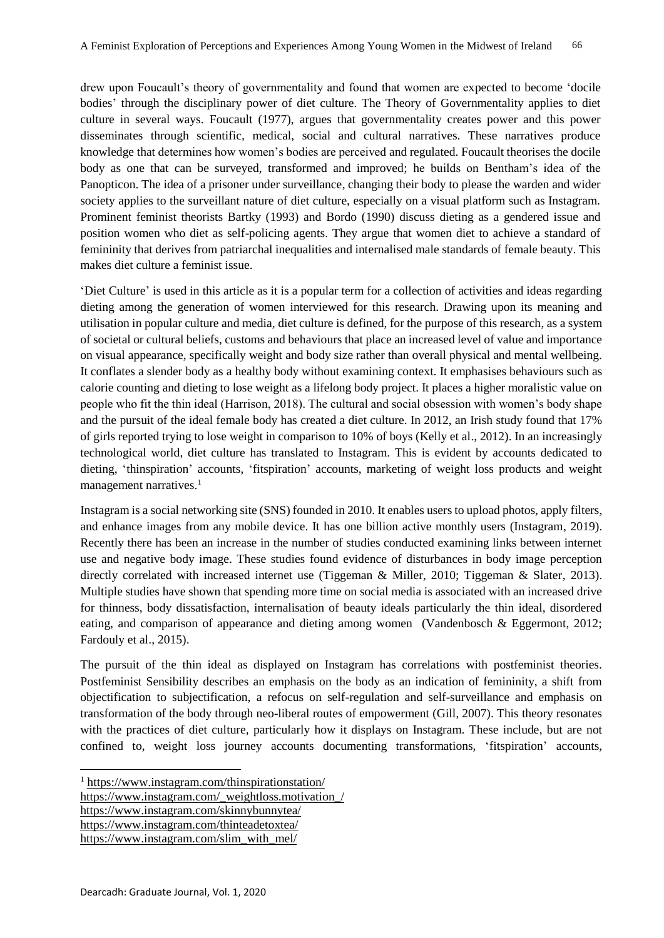drew upon Foucault's theory of governmentality and found that women are expected to become 'docile bodies' through the disciplinary power of diet culture. The Theory of Governmentality applies to diet culture in several ways. Foucault (1977), argues that governmentality creates power and this power disseminates through scientific, medical, social and cultural narratives. These narratives produce knowledge that determines how women's bodies are perceived and regulated. Foucault theorises the docile body as one that can be surveyed, transformed and improved; he builds on Bentham's idea of the Panopticon. The idea of a prisoner under surveillance, changing their body to please the warden and wider society applies to the surveillant nature of diet culture, especially on a visual platform such as Instagram. Prominent feminist theorists Bartky (1993) and Bordo (1990) discuss dieting as a gendered issue and position women who diet as self-policing agents. They argue that women diet to achieve a standard of femininity that derives from patriarchal inequalities and internalised male standards of female beauty. This makes diet culture a feminist issue.

'Diet Culture' is used in this article as it is a popular term for a collection of activities and ideas regarding dieting among the generation of women interviewed for this research. Drawing upon its meaning and utilisation in popular culture and media, diet culture is defined, for the purpose of this research, as a system of societal or cultural beliefs, customs and behaviours that place an increased level of value and importance on visual appearance, specifically weight and body size rather than overall physical and mental wellbeing. It conflates a slender body as a healthy body without examining context. It emphasises behaviours such as calorie counting and dieting to lose weight as a lifelong body project. It places a higher moralistic value on people who fit the thin ideal (Harrison, 2018). The cultural and social obsession with women's body shape and the pursuit of the ideal female body has created a diet culture. In 2012, an Irish study found that 17% of girls reported trying to lose weight in comparison to 10% of boys (Kelly et al., 2012). In an increasingly technological world, diet culture has translated to Instagram. This is evident by accounts dedicated to dieting, 'thinspiration' accounts, 'fitspiration' accounts, marketing of weight loss products and weight management narratives. $<sup>1</sup>$ </sup>

Instagram is a social networking site (SNS) founded in 2010. It enables users to upload photos, apply filters, and enhance images from any mobile device. It has one billion active monthly users (Instagram, 2019). Recently there has been an increase in the number of studies conducted examining links between internet use and negative body image. These studies found evidence of disturbances in body image perception directly correlated with increased internet use (Tiggeman & Miller, 2010; Tiggeman & Slater, 2013). Multiple studies have shown that spending more time on social media is associated with an increased drive for thinness, body dissatisfaction, internalisation of beauty ideals particularly the thin ideal, disordered eating, and comparison of appearance and dieting among women (Vandenbosch & Eggermont, 2012; Fardouly et al., 2015).

The pursuit of the thin ideal as displayed on Instagram has correlations with postfeminist theories. Postfeminist Sensibility describes an emphasis on the body as an indication of femininity, a shift from objectification to subjectification, a refocus on self-regulation and self-surveillance and emphasis on transformation of the body through neo-liberal routes of empowerment (Gill, 2007). This theory resonates with the practices of diet culture, particularly how it displays on Instagram. These include, but are not confined to, weight loss journey accounts documenting transformations, 'fitspiration' accounts,

[https://www.instagram.com/\\_weightloss.motivation\\_/](https://www.instagram.com/_weightloss.motivation_/)

<https://www.instagram.com/skinnybunnytea/>

**.** 

<https://www.instagram.com/thinteadetoxtea/> [https://www.instagram.com/slim\\_with\\_mel/](https://www.instagram.com/slim_with_mel/)

<sup>&</sup>lt;sup>1</sup> <https://www.instagram.com/thinspirationstation/>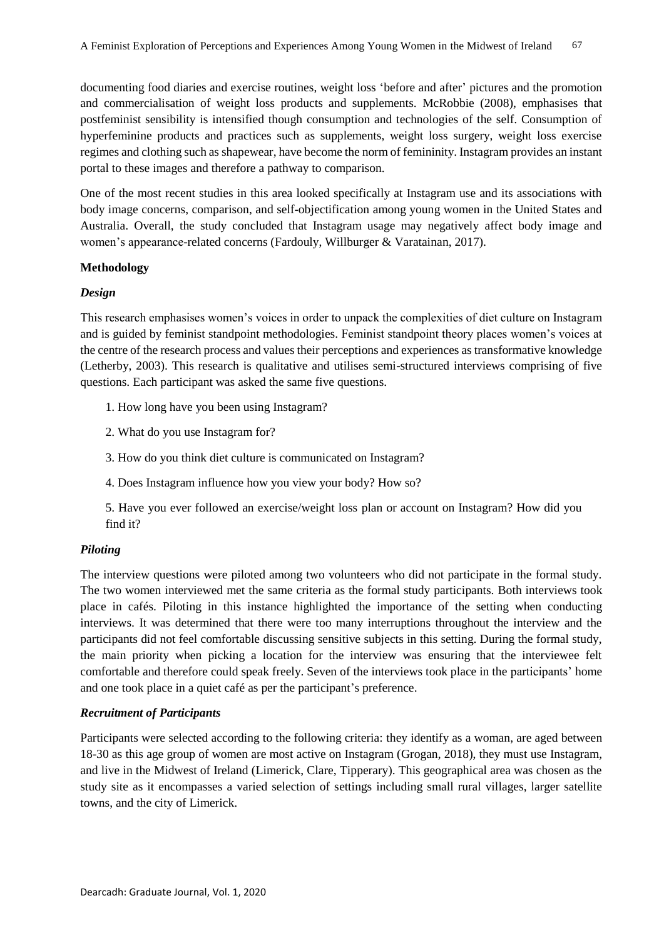documenting food diaries and exercise routines, weight loss 'before and after' pictures and the promotion and commercialisation of weight loss products and supplements. McRobbie (2008), emphasises that postfeminist sensibility is intensified though consumption and technologies of the self. Consumption of hyperfeminine products and practices such as supplements, weight loss surgery, weight loss exercise regimes and clothing such as shapewear, have become the norm of femininity. Instagram provides an instant portal to these images and therefore a pathway to comparison.

One of the most recent studies in this area looked specifically at Instagram use and its associations with body image concerns, comparison, and self-objectification among young women in the United States and Australia. Overall, the study concluded that Instagram usage may negatively affect body image and women's appearance-related concerns (Fardouly, Willburger & Varatainan, 2017).

## **Methodology**

## *Design*

This research emphasises women's voices in order to unpack the complexities of diet culture on Instagram and is guided by feminist standpoint methodologies. Feminist standpoint theory places women's voices at the centre of the research process and values their perceptions and experiences as transformative knowledge (Letherby, 2003). This research is qualitative and utilises semi-structured interviews comprising of five questions. Each participant was asked the same five questions.

- 1. How long have you been using Instagram?
- 2. What do you use Instagram for?
- 3. How do you think diet culture is communicated on Instagram?
- 4. Does Instagram influence how you view your body? How so?
- 5. Have you ever followed an exercise/weight loss plan or account on Instagram? How did you find it?

## *Piloting*

The interview questions were piloted among two volunteers who did not participate in the formal study. The two women interviewed met the same criteria as the formal study participants. Both interviews took place in cafés. Piloting in this instance highlighted the importance of the setting when conducting interviews. It was determined that there were too many interruptions throughout the interview and the participants did not feel comfortable discussing sensitive subjects in this setting. During the formal study, the main priority when picking a location for the interview was ensuring that the interviewee felt comfortable and therefore could speak freely. Seven of the interviews took place in the participants' home and one took place in a quiet café as per the participant's preference.

## *Recruitment of Participants*

Participants were selected according to the following criteria: they identify as a woman, are aged between 18-30 as this age group of women are most active on Instagram (Grogan, 2018), they must use Instagram, and live in the Midwest of Ireland (Limerick, Clare, Tipperary). This geographical area was chosen as the study site as it encompasses a varied selection of settings including small rural villages, larger satellite towns, and the city of Limerick.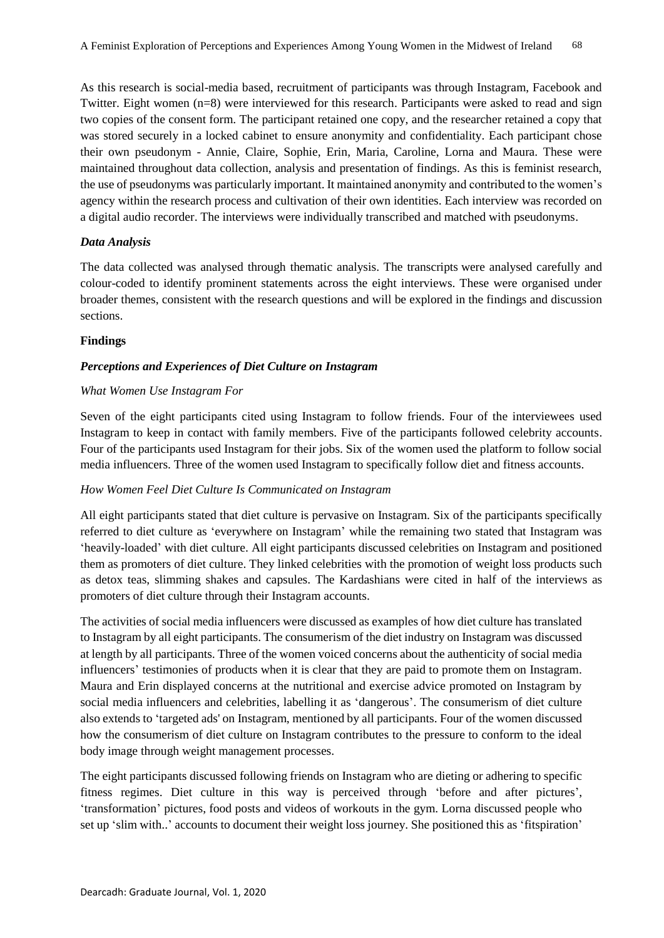As this research is social-media based, recruitment of participants was through Instagram, Facebook and Twitter. Eight women (n=8) were interviewed for this research. Participants were asked to read and sign two copies of the consent form. The participant retained one copy, and the researcher retained a copy that was stored securely in a locked cabinet to ensure anonymity and confidentiality. Each participant chose their own pseudonym - Annie, Claire, Sophie, Erin, Maria, Caroline, Lorna and Maura. These were maintained throughout data collection, analysis and presentation of findings. As this is feminist research, the use of pseudonyms was particularly important. It maintained anonymity and contributed to the women's agency within the research process and cultivation of their own identities. Each interview was recorded on a digital audio recorder. The interviews were individually transcribed and matched with pseudonyms.

## *Data Analysis*

The data collected was analysed through thematic analysis. The transcripts were analysed carefully and colour-coded to identify prominent statements across the eight interviews. These were organised under broader themes, consistent with the research questions and will be explored in the findings and discussion sections.

## **Findings**

## *Perceptions and Experiences of Diet Culture on Instagram*

## *What Women Use Instagram For*

Seven of the eight participants cited using Instagram to follow friends. Four of the interviewees used Instagram to keep in contact with family members. Five of the participants followed celebrity accounts. Four of the participants used Instagram for their jobs. Six of the women used the platform to follow social media influencers. Three of the women used Instagram to specifically follow diet and fitness accounts.

## *How Women Feel Diet Culture Is Communicated on Instagram*

All eight participants stated that diet culture is pervasive on Instagram. Six of the participants specifically referred to diet culture as 'everywhere on Instagram' while the remaining two stated that Instagram was 'heavily-loaded' with diet culture. All eight participants discussed celebrities on Instagram and positioned them as promoters of diet culture. They linked celebrities with the promotion of weight loss products such as detox teas, slimming shakes and capsules. The Kardashians were cited in half of the interviews as promoters of diet culture through their Instagram accounts.

The activities of social media influencers were discussed as examples of how diet culture has translated to Instagram by all eight participants. The consumerism of the diet industry on Instagram was discussed at length by all participants. Three of the women voiced concerns about the authenticity of social media influencers' testimonies of products when it is clear that they are paid to promote them on Instagram. Maura and Erin displayed concerns at the nutritional and exercise advice promoted on Instagram by social media influencers and celebrities, labelling it as 'dangerous'. The consumerism of diet culture also extends to 'targeted ads' on Instagram, mentioned by all participants. Four of the women discussed how the consumerism of diet culture on Instagram contributes to the pressure to conform to the ideal body image through weight management processes.

The eight participants discussed following friends on Instagram who are dieting or adhering to specific fitness regimes. Diet culture in this way is perceived through 'before and after pictures', 'transformation' pictures, food posts and videos of workouts in the gym. Lorna discussed people who set up 'slim with..' accounts to document their weight loss journey. She positioned this as 'fitspiration'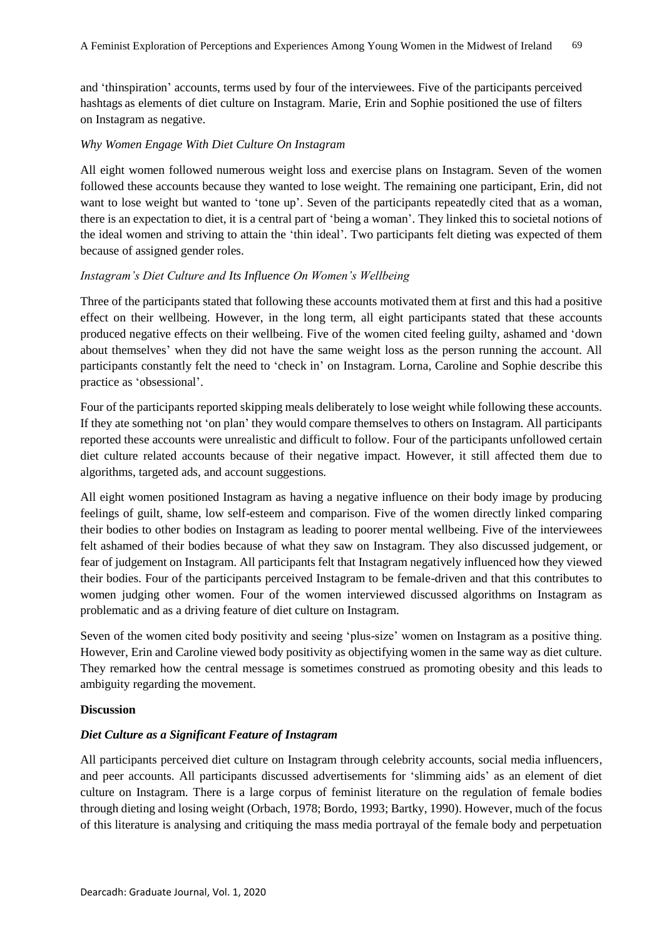and 'thinspiration' accounts, terms used by four of the interviewees. Five of the participants perceived hashtags as elements of diet culture on Instagram. Marie, Erin and Sophie positioned the use of filters on Instagram as negative.

#### *Why Women Engage With Diet Culture On Instagram*

All eight women followed numerous weight loss and exercise plans on Instagram. Seven of the women followed these accounts because they wanted to lose weight. The remaining one participant, Erin, did not want to lose weight but wanted to 'tone up'. Seven of the participants repeatedly cited that as a woman, there is an expectation to diet, it is a central part of 'being a woman'. They linked this to societal notions of the ideal women and striving to attain the 'thin ideal'. Two participants felt dieting was expected of them because of assigned gender roles.

#### *Instagram's Diet Culture and Its Influence On Women's Wellbeing*

Three of the participants stated that following these accounts motivated them at first and this had a positive effect on their wellbeing. However, in the long term, all eight participants stated that these accounts produced negative effects on their wellbeing. Five of the women cited feeling guilty, ashamed and 'down about themselves' when they did not have the same weight loss as the person running the account. All participants constantly felt the need to 'check in' on Instagram. Lorna, Caroline and Sophie describe this practice as 'obsessional'.

Four of the participants reported skipping meals deliberately to lose weight while following these accounts. If they ate something not 'on plan' they would compare themselves to others on Instagram. All participants reported these accounts were unrealistic and difficult to follow. Four of the participants unfollowed certain diet culture related accounts because of their negative impact. However, it still affected them due to algorithms, targeted ads, and account suggestions.

All eight women positioned Instagram as having a negative influence on their body image by producing feelings of guilt, shame, low self-esteem and comparison. Five of the women directly linked comparing their bodies to other bodies on Instagram as leading to poorer mental wellbeing. Five of the interviewees felt ashamed of their bodies because of what they saw on Instagram. They also discussed judgement, or fear of judgement on Instagram. All participants felt that Instagram negatively influenced how they viewed their bodies. Four of the participants perceived Instagram to be female-driven and that this contributes to women judging other women. Four of the women interviewed discussed algorithms on Instagram as problematic and as a driving feature of diet culture on Instagram.

Seven of the women cited body positivity and seeing 'plus-size' women on Instagram as a positive thing. However, Erin and Caroline viewed body positivity as objectifying women in the same way as diet culture. They remarked how the central message is sometimes construed as promoting obesity and this leads to ambiguity regarding the movement.

## **Discussion**

## *Diet Culture as a Significant Feature of Instagram*

All participants perceived diet culture on Instagram through celebrity accounts, social media influencers, and peer accounts. All participants discussed advertisements for 'slimming aids' as an element of diet culture on Instagram. There is a large corpus of feminist literature on the regulation of female bodies through dieting and losing weight (Orbach, 1978; Bordo, 1993; Bartky, 1990). However, much of the focus of this literature is analysing and critiquing the mass media portrayal of the female body and perpetuation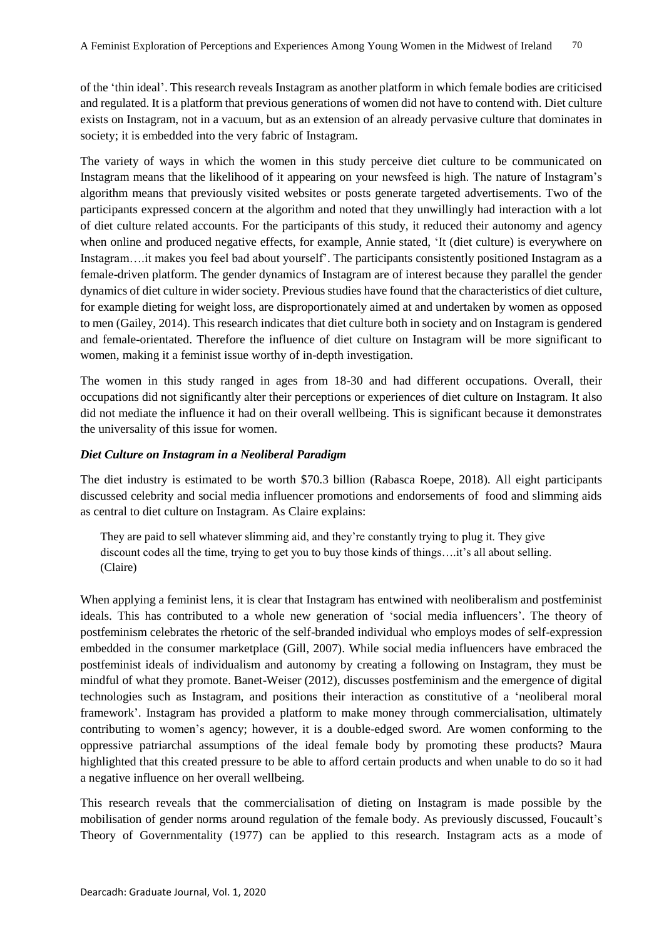of the 'thin ideal'. This research reveals Instagram as another platform in which female bodies are criticised and regulated. It is a platform that previous generations of women did not have to contend with. Diet culture exists on Instagram, not in a vacuum, but as an extension of an already pervasive culture that dominates in society; it is embedded into the very fabric of Instagram.

The variety of ways in which the women in this study perceive diet culture to be communicated on Instagram means that the likelihood of it appearing on your newsfeed is high. The nature of Instagram's algorithm means that previously visited websites or posts generate targeted advertisements. Two of the participants expressed concern at the algorithm and noted that they unwillingly had interaction with a lot of diet culture related accounts. For the participants of this study, it reduced their autonomy and agency when online and produced negative effects, for example, Annie stated, 'It (diet culture) is everywhere on Instagram….it makes you feel bad about yourself'. The participants consistently positioned Instagram as a female-driven platform. The gender dynamics of Instagram are of interest because they parallel the gender dynamics of diet culture in wider society. Previous studies have found that the characteristics of diet culture, for example dieting for weight loss, are disproportionately aimed at and undertaken by women as opposed to men (Gailey, 2014). This research indicates that diet culture both in society and on Instagram is gendered and female-orientated. Therefore the influence of diet culture on Instagram will be more significant to women, making it a feminist issue worthy of in-depth investigation.

The women in this study ranged in ages from 18-30 and had different occupations. Overall, their occupations did not significantly alter their perceptions or experiences of diet culture on Instagram. It also did not mediate the influence it had on their overall wellbeing. This is significant because it demonstrates the universality of this issue for women.

## *Diet Culture on Instagram in a Neoliberal Paradigm*

The diet industry is estimated to be worth \$70.3 billion (Rabasca Roepe, 2018). All eight participants discussed celebrity and social media influencer promotions and endorsements of food and slimming aids as central to diet culture on Instagram. As Claire explains:

They are paid to sell whatever slimming aid, and they're constantly trying to plug it. They give discount codes all the time, trying to get you to buy those kinds of things….it's all about selling. (Claire)

When applying a feminist lens, it is clear that Instagram has entwined with neoliberalism and postfeminist ideals. This has contributed to a whole new generation of 'social media influencers'. The theory of postfeminism celebrates the rhetoric of the self-branded individual who employs modes of self-expression embedded in the consumer marketplace (Gill, 2007). While social media influencers have embraced the postfeminist ideals of individualism and autonomy by creating a following on Instagram, they must be mindful of what they promote. Banet-Weiser (2012), discusses postfeminism and the emergence of digital technologies such as Instagram, and positions their interaction as constitutive of a 'neoliberal moral framework'. Instagram has provided a platform to make money through commercialisation, ultimately contributing to women's agency; however, it is a double-edged sword. Are women conforming to the oppressive patriarchal assumptions of the ideal female body by promoting these products? Maura highlighted that this created pressure to be able to afford certain products and when unable to do so it had a negative influence on her overall wellbeing.

This research reveals that the commercialisation of dieting on Instagram is made possible by the mobilisation of gender norms around regulation of the female body. As previously discussed, Foucault's Theory of Governmentality (1977) can be applied to this research. Instagram acts as a mode of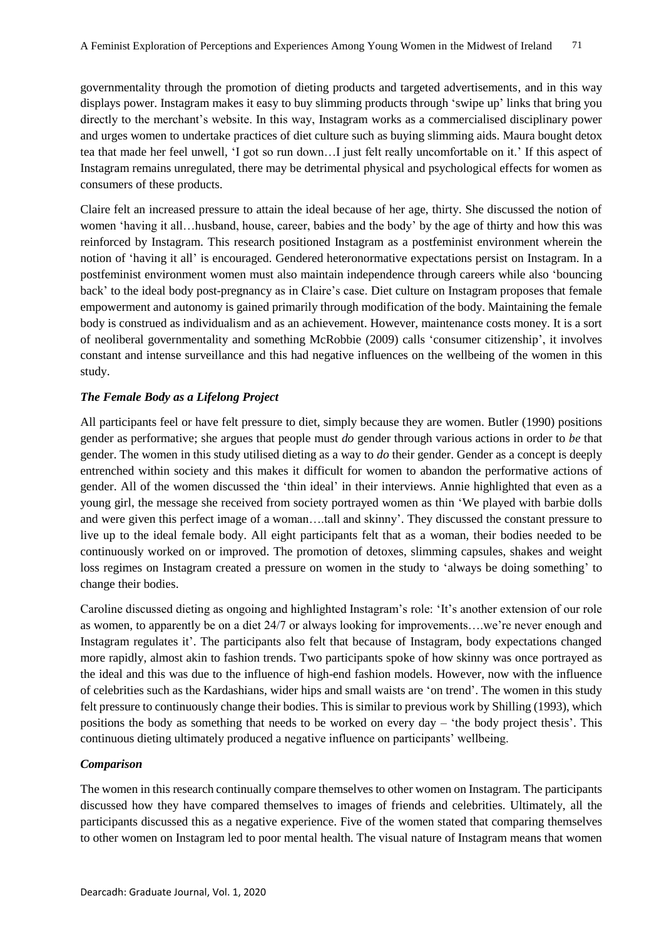governmentality through the promotion of dieting products and targeted advertisements, and in this way displays power. Instagram makes it easy to buy slimming products through 'swipe up' links that bring you directly to the merchant's website. In this way, Instagram works as a commercialised disciplinary power and urges women to undertake practices of diet culture such as buying slimming aids. Maura bought detox tea that made her feel unwell, 'I got so run down…I just felt really uncomfortable on it.' If this aspect of Instagram remains unregulated, there may be detrimental physical and psychological effects for women as consumers of these products.

Claire felt an increased pressure to attain the ideal because of her age, thirty. She discussed the notion of women 'having it all…husband, house, career, babies and the body' by the age of thirty and how this was reinforced by Instagram. This research positioned Instagram as a postfeminist environment wherein the notion of 'having it all' is encouraged. Gendered heteronormative expectations persist on Instagram. In a postfeminist environment women must also maintain independence through careers while also 'bouncing back' to the ideal body post-pregnancy as in Claire's case. Diet culture on Instagram proposes that female empowerment and autonomy is gained primarily through modification of the body. Maintaining the female body is construed as individualism and as an achievement. However, maintenance costs money. It is a sort of neoliberal governmentality and something McRobbie (2009) calls 'consumer citizenship', it involves constant and intense surveillance and this had negative influences on the wellbeing of the women in this study.

## *The Female Body as a Lifelong Project*

All participants feel or have felt pressure to diet, simply because they are women. Butler (1990) positions gender as performative; she argues that people must *do* gender through various actions in order to *be* that gender. The women in this study utilised dieting as a way to *do* their gender. Gender as a concept is deeply entrenched within society and this makes it difficult for women to abandon the performative actions of gender. All of the women discussed the 'thin ideal' in their interviews. Annie highlighted that even as a young girl, the message she received from society portrayed women as thin 'We played with barbie dolls and were given this perfect image of a woman….tall and skinny'. They discussed the constant pressure to live up to the ideal female body. All eight participants felt that as a woman, their bodies needed to be continuously worked on or improved. The promotion of detoxes, slimming capsules, shakes and weight loss regimes on Instagram created a pressure on women in the study to 'always be doing something' to change their bodies.

Caroline discussed dieting as ongoing and highlighted Instagram's role: 'It's another extension of our role as women, to apparently be on a diet 24/7 or always looking for improvements….we're never enough and Instagram regulates it'. The participants also felt that because of Instagram, body expectations changed more rapidly, almost akin to fashion trends. Two participants spoke of how skinny was once portrayed as the ideal and this was due to the influence of high-end fashion models. However, now with the influence of celebrities such as the Kardashians, wider hips and small waists are 'on trend'. The women in this study felt pressure to continuously change their bodies. This is similar to previous work by Shilling (1993), which positions the body as something that needs to be worked on every day – 'the body project thesis'. This continuous dieting ultimately produced a negative influence on participants' wellbeing.

## *Comparison*

The women in this research continually compare themselves to other women on Instagram. The participants discussed how they have compared themselves to images of friends and celebrities. Ultimately, all the participants discussed this as a negative experience. Five of the women stated that comparing themselves to other women on Instagram led to poor mental health. The visual nature of Instagram means that women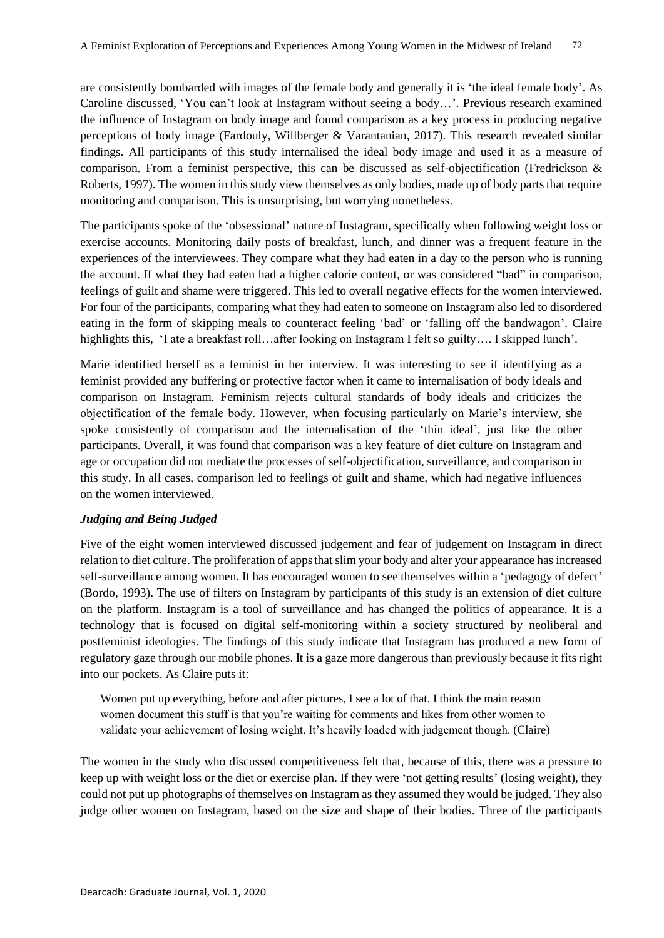are consistently bombarded with images of the female body and generally it is 'the ideal female body'. As Caroline discussed, 'You can't look at Instagram without seeing a body…'. Previous research examined the influence of Instagram on body image and found comparison as a key process in producing negative perceptions of body image (Fardouly, Willberger & Varantanian, 2017). This research revealed similar findings. All participants of this study internalised the ideal body image and used it as a measure of comparison. From a feminist perspective, this can be discussed as self-objectification (Fredrickson & Roberts, 1997). The women in this study view themselves as only bodies, made up of body parts that require monitoring and comparison. This is unsurprising, but worrying nonetheless.

The participants spoke of the 'obsessional' nature of Instagram, specifically when following weight loss or exercise accounts. Monitoring daily posts of breakfast, lunch, and dinner was a frequent feature in the experiences of the interviewees. They compare what they had eaten in a day to the person who is running the account. If what they had eaten had a higher calorie content, or was considered "bad" in comparison, feelings of guilt and shame were triggered. This led to overall negative effects for the women interviewed. For four of the participants, comparing what they had eaten to someone on Instagram also led to disordered eating in the form of skipping meals to counteract feeling 'bad' or 'falling off the bandwagon'. Claire highlights this, 'I ate a breakfast roll...after looking on Instagram I felt so guilty.... I skipped lunch'.

Marie identified herself as a feminist in her interview. It was interesting to see if identifying as a feminist provided any buffering or protective factor when it came to internalisation of body ideals and comparison on Instagram. Feminism rejects cultural standards of body ideals and criticizes the objectification of the female body. However, when focusing particularly on Marie's interview, she spoke consistently of comparison and the internalisation of the 'thin ideal', just like the other participants. Overall, it was found that comparison was a key feature of diet culture on Instagram and age or occupation did not mediate the processes of self-objectification, surveillance, and comparison in this study. In all cases, comparison led to feelings of guilt and shame, which had negative influences on the women interviewed.

## *Judging and Being Judged*

Five of the eight women interviewed discussed judgement and fear of judgement on Instagram in direct relation to diet culture. The proliferation of appsthat slim your body and alter your appearance has increased self-surveillance among women. It has encouraged women to see themselves within a 'pedagogy of defect' (Bordo, 1993). The use of filters on Instagram by participants of this study is an extension of diet culture on the platform. Instagram is a tool of surveillance and has changed the politics of appearance. It is a technology that is focused on digital self-monitoring within a society structured by neoliberal and postfeminist ideologies. The findings of this study indicate that Instagram has produced a new form of regulatory gaze through our mobile phones. It is a gaze more dangerous than previously because it fits right into our pockets. As Claire puts it:

Women put up everything, before and after pictures, I see a lot of that. I think the main reason women document this stuff is that you're waiting for comments and likes from other women to validate your achievement of losing weight. It's heavily loaded with judgement though. (Claire)

The women in the study who discussed competitiveness felt that, because of this, there was a pressure to keep up with weight loss or the diet or exercise plan. If they were 'not getting results' (losing weight), they could not put up photographs of themselves on Instagram as they assumed they would be judged. They also judge other women on Instagram, based on the size and shape of their bodies. Three of the participants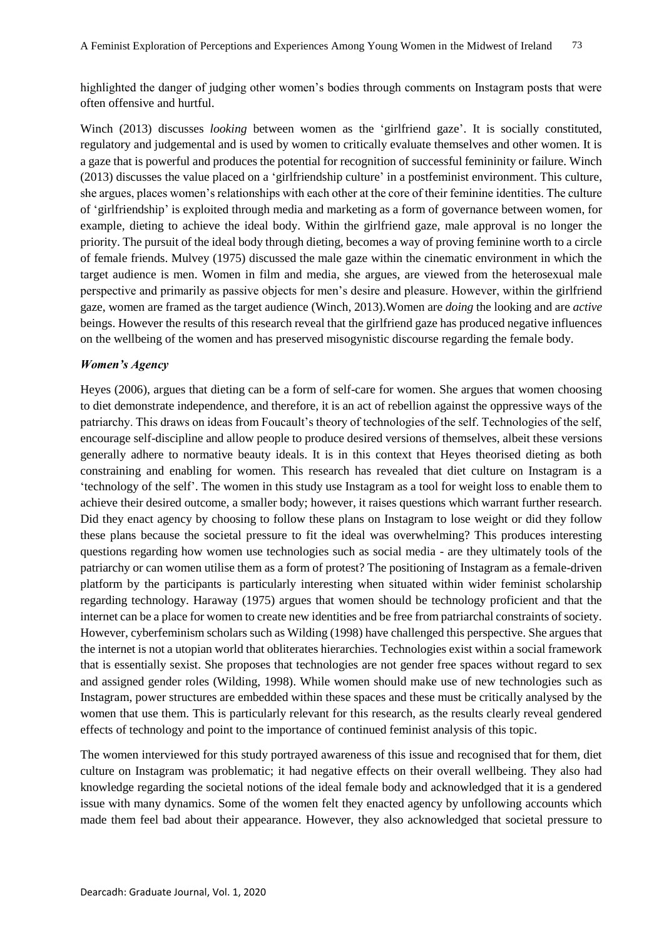highlighted the danger of judging other women's bodies through comments on Instagram posts that were often offensive and hurtful.

Winch (2013) discusses *looking* between women as the 'girlfriend gaze'. It is socially constituted, regulatory and judgemental and is used by women to critically evaluate themselves and other women. It is a gaze that is powerful and produces the potential for recognition of successful femininity or failure. Winch (2013) discusses the value placed on a 'girlfriendship culture' in a postfeminist environment. This culture, she argues, places women's relationships with each other at the core of their feminine identities. The culture of 'girlfriendship' is exploited through media and marketing as a form of governance between women, for example, dieting to achieve the ideal body. Within the girlfriend gaze, male approval is no longer the priority. The pursuit of the ideal body through dieting, becomes a way of proving feminine worth to a circle of female friends. Mulvey (1975) discussed the male gaze within the cinematic environment in which the target audience is men. Women in film and media, she argues, are viewed from the heterosexual male perspective and primarily as passive objects for men's desire and pleasure. However, within the girlfriend gaze, women are framed as the target audience (Winch, 2013).Women are *doing* the looking and are *active* beings. However the results of this research reveal that the girlfriend gaze has produced negative influences on the wellbeing of the women and has preserved misogynistic discourse regarding the female body.

## *Women's Agency*

Heyes (2006), argues that dieting can be a form of self-care for women. She argues that women choosing to diet demonstrate independence, and therefore, it is an act of rebellion against the oppressive ways of the patriarchy. This draws on ideas from Foucault's theory of technologies of the self. Technologies of the self, encourage self-discipline and allow people to produce desired versions of themselves, albeit these versions generally adhere to normative beauty ideals. It is in this context that Heyes theorised dieting as both constraining and enabling for women. This research has revealed that diet culture on Instagram is a 'technology of the self'. The women in this study use Instagram as a tool for weight loss to enable them to achieve their desired outcome, a smaller body; however, it raises questions which warrant further research. Did they enact agency by choosing to follow these plans on Instagram to lose weight or did they follow these plans because the societal pressure to fit the ideal was overwhelming? This produces interesting questions regarding how women use technologies such as social media - are they ultimately tools of the patriarchy or can women utilise them as a form of protest? The positioning of Instagram as a female-driven platform by the participants is particularly interesting when situated within wider feminist scholarship regarding technology. Haraway (1975) argues that women should be technology proficient and that the internet can be a place for women to create new identities and be free from patriarchal constraints of society. However, cyberfeminism scholars such as Wilding (1998) have challenged this perspective. She argues that the internet is not a utopian world that obliterates hierarchies. Technologies exist within a social framework that is essentially sexist. She proposes that technologies are not gender free spaces without regard to sex and assigned gender roles (Wilding, 1998). While women should make use of new technologies such as Instagram, power structures are embedded within these spaces and these must be critically analysed by the women that use them. This is particularly relevant for this research, as the results clearly reveal gendered effects of technology and point to the importance of continued feminist analysis of this topic.

The women interviewed for this study portrayed awareness of this issue and recognised that for them, diet culture on Instagram was problematic; it had negative effects on their overall wellbeing. They also had knowledge regarding the societal notions of the ideal female body and acknowledged that it is a gendered issue with many dynamics. Some of the women felt they enacted agency by unfollowing accounts which made them feel bad about their appearance. However, they also acknowledged that societal pressure to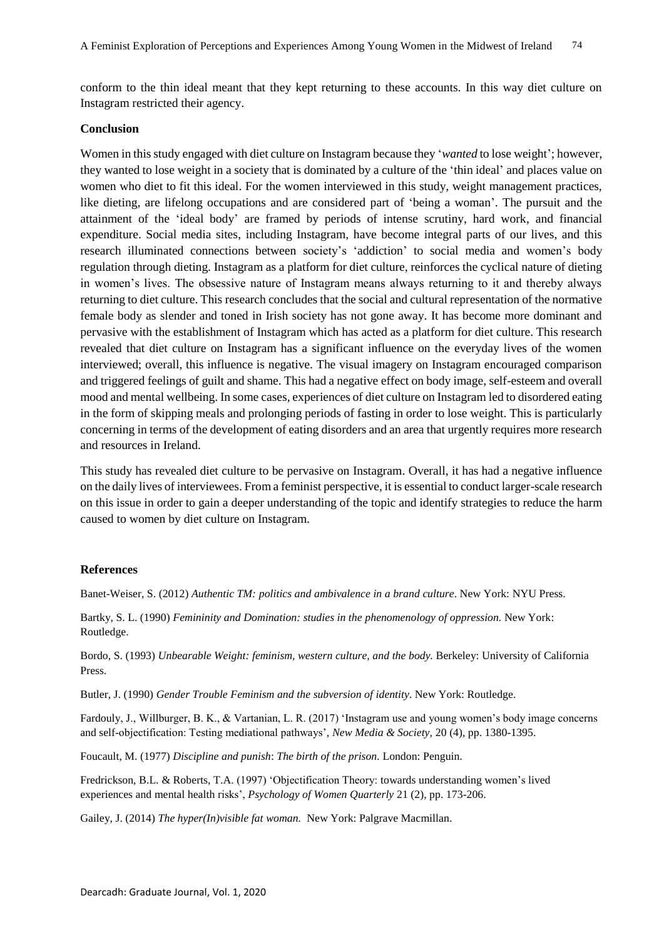conform to the thin ideal meant that they kept returning to these accounts. In this way diet culture on Instagram restricted their agency.

## **Conclusion**

Women in this study engaged with diet culture on Instagram because they '*wanted* to lose weight'; however, they wanted to lose weight in a society that is dominated by a culture of the 'thin ideal' and places value on women who diet to fit this ideal. For the women interviewed in this study, weight management practices, like dieting, are lifelong occupations and are considered part of 'being a woman'. The pursuit and the attainment of the 'ideal body' are framed by periods of intense scrutiny, hard work, and financial expenditure. Social media sites, including Instagram, have become integral parts of our lives, and this research illuminated connections between society's 'addiction' to social media and women's body regulation through dieting. Instagram as a platform for diet culture, reinforces the cyclical nature of dieting in women's lives. The obsessive nature of Instagram means always returning to it and thereby always returning to diet culture. This research concludes that the social and cultural representation of the normative female body as slender and toned in Irish society has not gone away. It has become more dominant and pervasive with the establishment of Instagram which has acted as a platform for diet culture. This research revealed that diet culture on Instagram has a significant influence on the everyday lives of the women interviewed; overall, this influence is negative. The visual imagery on Instagram encouraged comparison and triggered feelings of guilt and shame. This had a negative effect on body image, self-esteem and overall mood and mental wellbeing. In some cases, experiences of diet culture on Instagram led to disordered eating in the form of skipping meals and prolonging periods of fasting in order to lose weight. This is particularly concerning in terms of the development of eating disorders and an area that urgently requires more research and resources in Ireland.

This study has revealed diet culture to be pervasive on Instagram. Overall, it has had a negative influence on the daily lives of interviewees. From a feminist perspective, it is essential to conduct larger-scale research on this issue in order to gain a deeper understanding of the topic and identify strategies to reduce the harm caused to women by diet culture on Instagram.

#### **References**

Banet-Weiser, S. (2012) *Authentic TM: politics and ambivalence in a brand culture*. New York: NYU Press.

Bartky, S. L. (1990) *Femininity and Domination: studies in the phenomenology of oppression.* New York: Routledge.

Bordo, S. (1993) *Unbearable Weight: feminism, western culture, and the body.* Berkeley: University of California Press.

Butler, J. (1990) *Gender Trouble Feminism and the subversion of identity*. New York: Routledge.

Fardouly, J., Willburger, B. K., & Vartanian, L. R. (2017) 'Instagram use and young women's body image concerns and self-objectification: Testing mediational pathways', *New Media & Society,* 20 (4), pp. 1380-1395.

Foucault, M. (1977) *Discipline and punish*: *The birth of the prison.* London: Penguin.

Fredrickson, B.L. & Roberts, T.A. (1997) 'Objectification Theory: towards understanding women's lived experiences and mental health risks', *Psychology of Women Quarterly* 21 (2), pp. 173-206.

Gailey, J. (2014) *The hyper(In)visible fat woman.* New York: Palgrave Macmillan.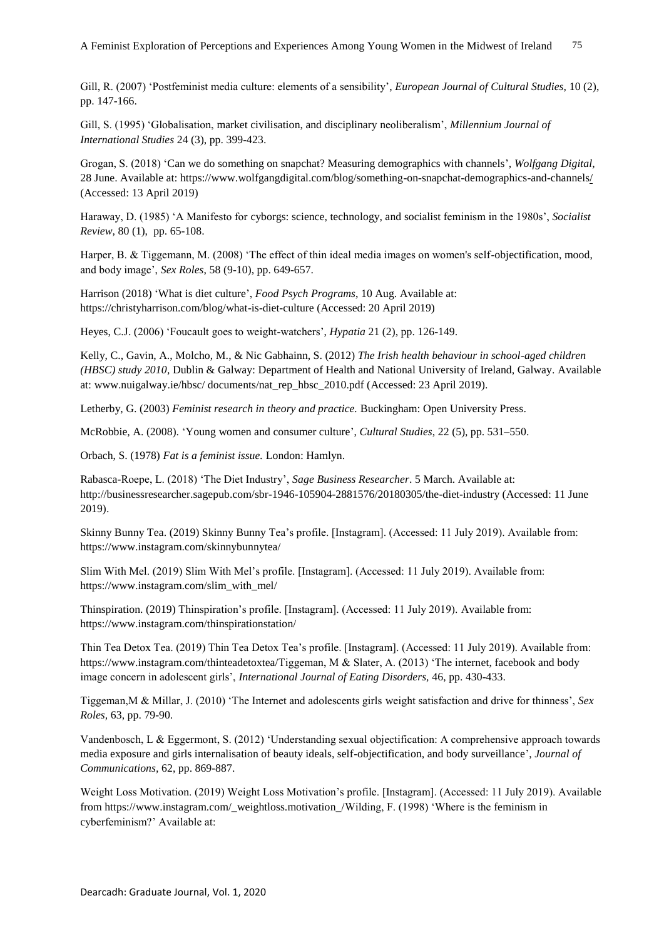Gill, R. (2007) 'Postfeminist media culture: elements of a sensibility', *European Journal of Cultural Studies,* 10 (2), pp. 147-166.

Gill, S. (1995) 'Globalisation, market civilisation, and disciplinary neoliberalism', *Millennium Journal of International Studies* 24 (3), pp. 399-423.

Grogan, S. (2018) 'Can we do something on snapchat? Measuring demographics with channels'*, Wolfgang Digital*, 28 June. Available at[: https://www.wolfgangdigital.com/blog/something-on-snapchat-demographics-and-channels/](https://www.wolfgangdigital.com/blog/something-on-snapchat-demographics-and-channels/) (Accessed: 13 April 2019)

Haraway, D. (1985) 'A Manifesto for cyborgs: science, technology, and socialist feminism in the 1980s', *Socialist Review*, 80 (1), pp. 65-108.

Harper, B. & Tiggemann, M. (2008) 'The effect of thin ideal media images on women's self-objectification, mood, and body image', *Sex Roles*, 58 (9-10), pp. 649-657.

Harrison (2018) 'What is diet culture', *Food Psych Programs*, 10 Aug. Available at: <https://christyharrison.com/blog/what-is-diet-culture> (Accessed: 20 April 2019)

Heyes, C.J. (2006) 'Foucault goes to weight-watchers', *Hypatia* 21 (2), pp. 126-149.

Kelly, C., Gavin, A., Molcho, M., & Nic Gabhainn, S. (2012) *The Irish health behaviour in school-aged children (HBSC) study 2010,* Dublin & Galway: Department of Health and National University of Ireland, Galway. Available at: www.nuigalway.ie/hbsc/ documents/nat\_rep\_hbsc\_2010.pdf (Accessed: 23 April 2019).

Letherby, G. (2003) *Feminist research in theory and practice.* Buckingham: Open University Press.

McRobbie, A. (2008). 'Young women and consumer culture', *Cultural Studies*, 22 (5), pp. 531–550.

Orbach, S. (1978) *Fat is a feminist issue.* London: Hamlyn.

Rabasca-Roepe, L. (2018) 'The Diet Industry', *Sage Business Researcher*. 5 March. Available at: <http://businessresearcher.sagepub.com/sbr-1946-105904-2881576/20180305/the-diet-industry> (Accessed: 11 June 2019).

Skinny Bunny Tea. (2019) Skinny Bunny Tea's profile. [Instagram]. (Accessed: 11 July 2019). Available from: https://www.instagram.com/skinnybunnytea/

Slim With Mel. (2019) Slim With Mel's profile. [Instagram]. (Accessed: 11 July 2019). Available from: [https://www.instagram.com/slim\\_with\\_mel/](https://www.instagram.com/slim_with_mel/)

Thinspiration. (2019) Thinspiration's profile. [Instagram]. (Accessed: 11 July 2019). Available from: https://www.instagram.com/thinspirationstation/

Thin Tea Detox Tea. (2019) Thin Tea Detox Tea's profile. [Instagram]. (Accessed: 11 July 2019). Available from: [https://www.instagram.com/thinteadetoxtea/T](https://www.instagram.com/thinteadetoxtea/)iggeman, M & Slater, A. (2013) 'The internet, facebook and body image concern in adolescent girls', *International Journal of Eating Disorders,* 46, pp. 430-433.

Tiggeman,M & Millar, J. (2010) 'The Internet and adolescents girls weight satisfaction and drive for thinness', *Sex Roles,* 63, pp. 79-90.

Vandenbosch, L & Eggermont, S. (2012) 'Understanding sexual objectification: A comprehensive approach towards media exposure and girls internalisation of beauty ideals, self-objectification, and body surveillance', *Journal of Communications,* 62, pp. 869-887.

Weight Loss Motivation. (2019) Weight Loss Motivation's profile. [Instagram]. (Accessed: 11 July 2019). Available from https://www.instagram.com/\_weightloss.motivation\_/Wilding, F. (1998) 'Where is the feminism in cyberfeminism?' Available at: